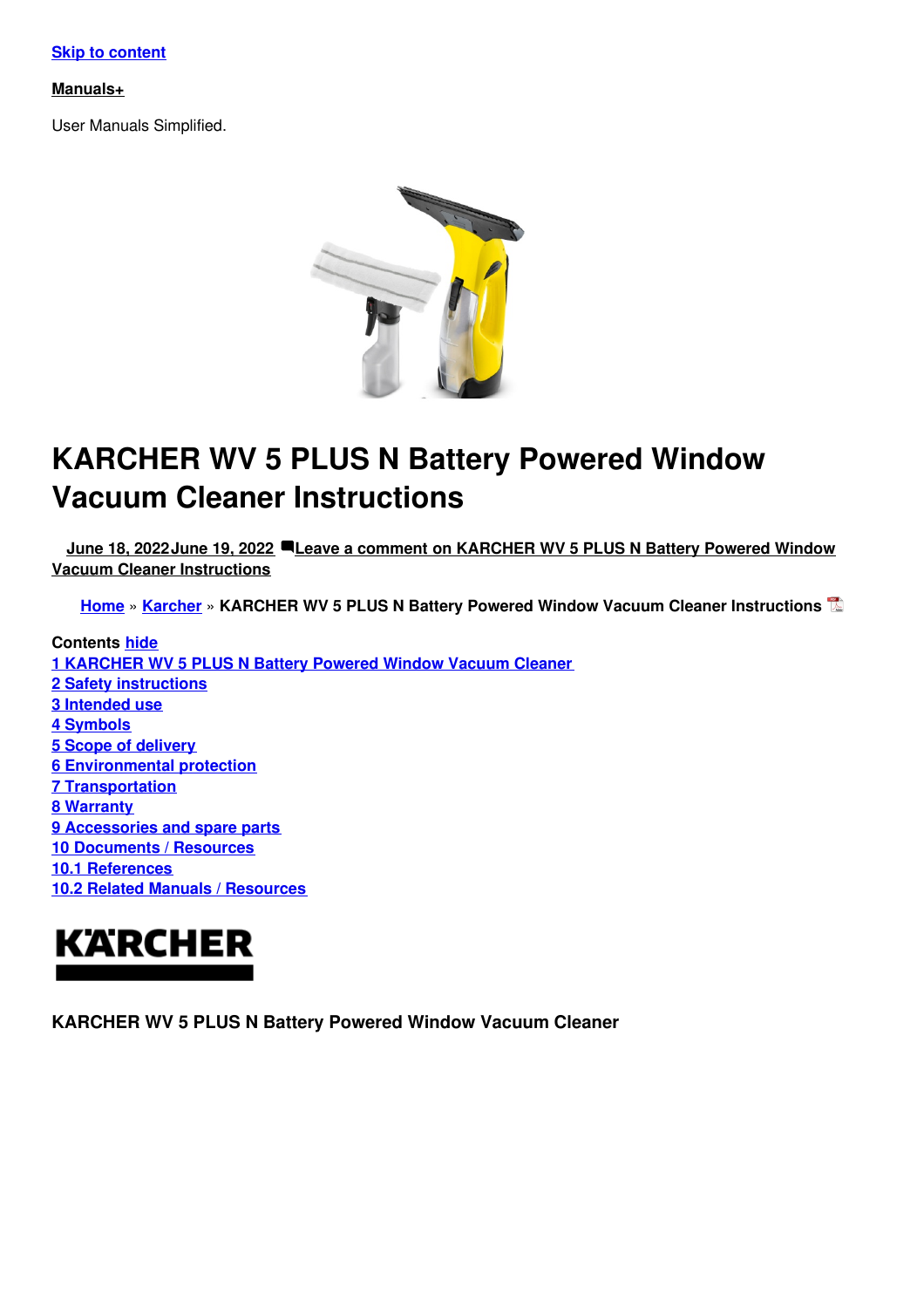#### **Skip to [content](#page-3-0)**

#### **[Manuals+](https://manuals.plus/)**

User Manuals Simplified.



# **KARCHER WV 5 PLUS N Battery Powered Window Vacuum Cleaner Instructions**

**June 18, [2022June](#page-3-1) 19, 2022 Leave a comment on KARCHER WV 5 PLUS N Battery Powered Window Vacuum Cleaner [Instructions](#page-5-0)**

**[Home](https://manuals.plus/)** » **[Karcher](https://manuals.plus/category/karcher)** » **KARCHER WV 5 PLUS N Battery Powered Window Vacuum Cleaner Instructions**

**Contents hide [KARCHER](#page-0-0) WV 5 PLUS N Battery Powered Window Vacuum Cleaner Safety [instructions](#page-1-0) [Intended](#page-2-0) use 4 [Symbols](#page-2-1) Scope of [delivery](#page-4-0) [Environmental](#page-4-1) protection [Transportation](#page-4-2) 8 [Warranty](#page-4-3) [Accessories](#page-4-4) and spare parts [Documents](#page-4-5) / Resources 10.1 [References](#page-5-1) 10.2 Related Manuals / [Resources](#page-5-2)**



<span id="page-0-0"></span>**KARCHER WV 5 PLUS N Battery Powered Window Vacuum Cleaner**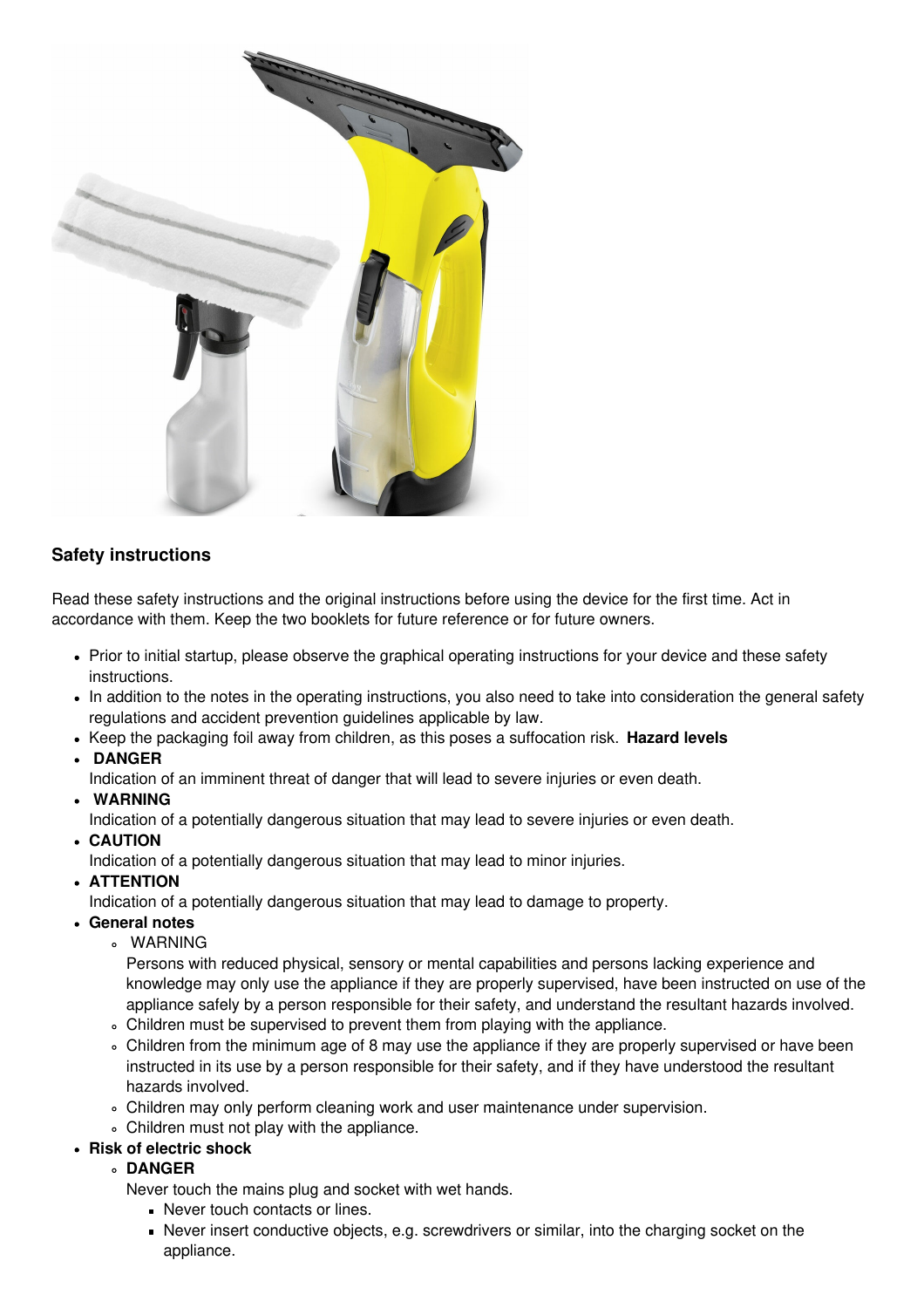

## <span id="page-1-0"></span>**Safety instructions**

Read these safety instructions and the original instructions before using the device for the first time. Act in accordance with them. Keep the two booklets for future reference or for future owners.

- Prior to initial startup, please observe the graphical operating instructions for your device and these safety instructions.
- In addition to the notes in the operating instructions, you also need to take into consideration the general safety regulations and accident prevention guidelines applicable by law.
- Keep the packaging foil away from children, as this poses a suffocation risk. **Hazard levels**
- **DANGER**
	- Indication of an imminent threat of danger that will lead to severe injuries or even death.
- **WARNING**
	- Indication of a potentially dangerous situation that may lead to severe injuries or even death.
- **CAUTION**

Indication of a potentially dangerous situation that may lead to minor injuries.

- **ATTENTION**
- Indication of a potentially dangerous situation that may lead to damage to property.
- **General notes**
	- WARNING

Persons with reduced physical, sensory or mental capabilities and persons lacking experience and knowledge may only use the appliance if they are properly supervised, have been instructed on use of the appliance safely by a person responsible for their safety, and understand the resultant hazards involved.

- Children must be supervised to prevent them from playing with the appliance.
- Children from the minimum age of 8 may use the appliance if they are properly supervised or have been instructed in its use by a person responsible for their safety, and if they have understood the resultant hazards involved.
- Children may only perform cleaning work and user maintenance under supervision.
- Children must not play with the appliance.
- **Risk of electric shock**
	- **DANGER**

Never touch the mains plug and socket with wet hands.

- Never touch contacts or lines.
- Never insert conductive objects, e.g. screwdrivers or similar, into the charging socket on the appliance.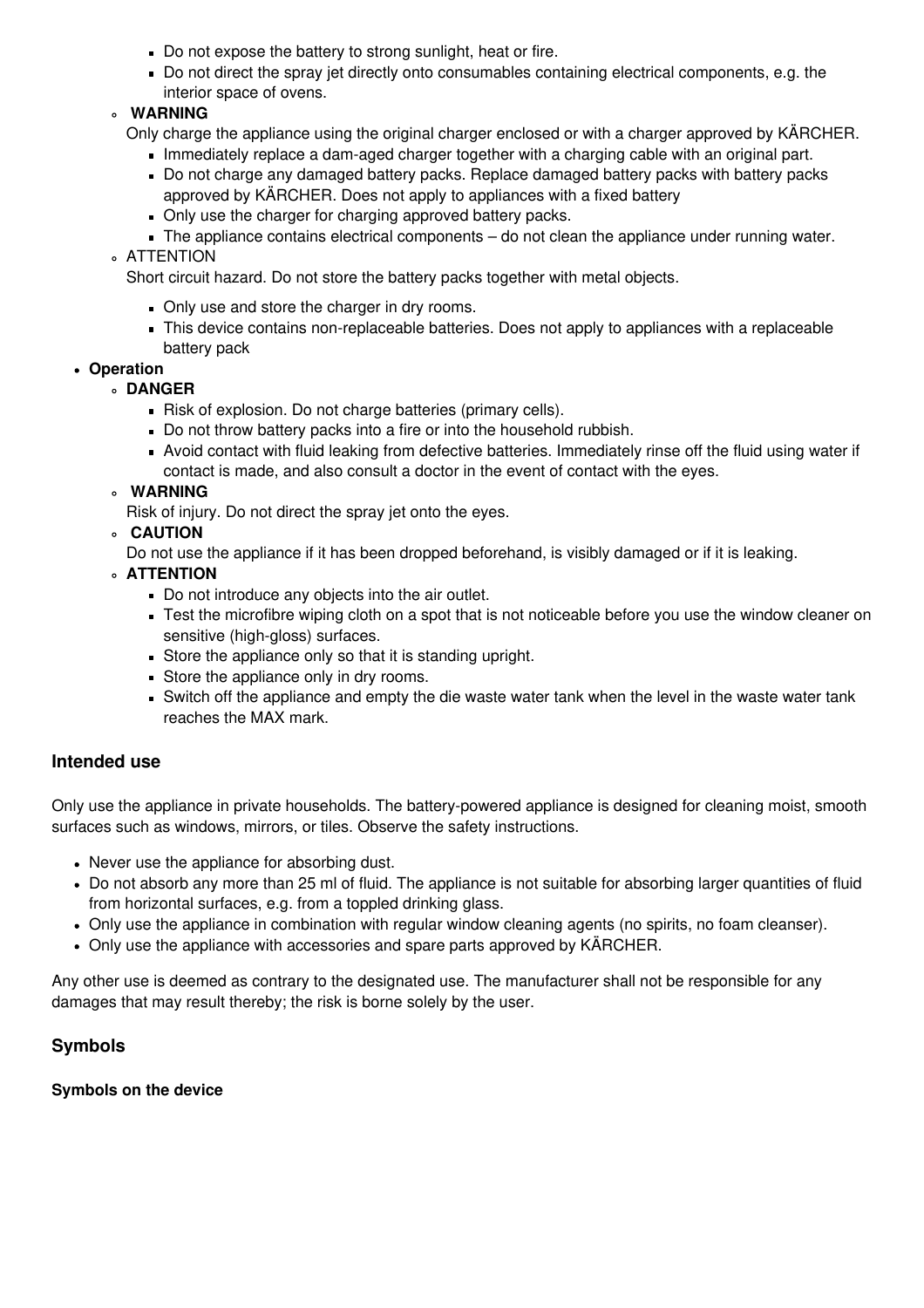- Do not expose the battery to strong sunlight, heat or fire.
- Do not direct the spray jet directly onto consumables containing electrical components, e.g. the interior space of ovens.

## **WARNING**

- Only charge the appliance using the original charger enclosed or with a charger approved by KÄRCHER.
	- Immediately replace a dam-aged charger together with a charging cable with an original part.
	- Do not charge any damaged battery packs. Replace damaged battery packs with battery packs approved by KÄRCHER. Does not apply to appliances with a fixed battery
	- Only use the charger for charging approved battery packs.
	- The appliance contains electrical components do not clean the appliance under running water.
- ATTENTION

Short circuit hazard. Do not store the battery packs together with metal objects.

- Only use and store the charger in dry rooms.
- This device contains non-replaceable batteries. Does not apply to appliances with a replaceable battery pack

#### **Operation**

- **DANGER**
	- Risk of explosion. Do not charge batteries (primary cells).
	- Do not throw battery packs into a fire or into the household rubbish.
	- Avoid contact with fluid leaking from defective batteries. Immediately rinse off the fluid using water if contact is made, and also consult a doctor in the event of contact with the eyes.

#### **WARNING**

- Risk of injury. Do not direct the spray jet onto the eyes.
- **CAUTION**

Do not use the appliance if it has been dropped beforehand, is visibly damaged or if it is leaking.

- **ATTENTION**
	- Do not introduce any objects into the air outlet.
	- Test the microfibre wiping cloth on a spot that is not noticeable before you use the window cleaner on sensitive (high-gloss) surfaces.
	- Store the appliance only so that it is standing upright.
	- Store the appliance only in dry rooms.
	- Switch off the appliance and empty the die waste water tank when the level in the waste water tank reaches the MAX mark.

## <span id="page-2-0"></span>**Intended use**

Only use the appliance in private households. The battery-powered appliance is designed for cleaning moist, smooth surfaces such as windows, mirrors, or tiles. Observe the safety instructions.

- Never use the appliance for absorbing dust.
- Do not absorb any more than 25 ml of fluid. The appliance is not suitable for absorbing larger quantities of fluid from horizontal surfaces, e.g. from a toppled drinking glass.
- Only use the appliance in combination with regular window cleaning agents (no spirits, no foam cleanser).
- Only use the appliance with accessories and spare parts approved by KÄRCHER.

Any other use is deemed as contrary to the designated use. The manufacturer shall not be responsible for any damages that may result thereby; the risk is borne solely by the user.

## <span id="page-2-1"></span>**Symbols**

#### **Symbols on the device**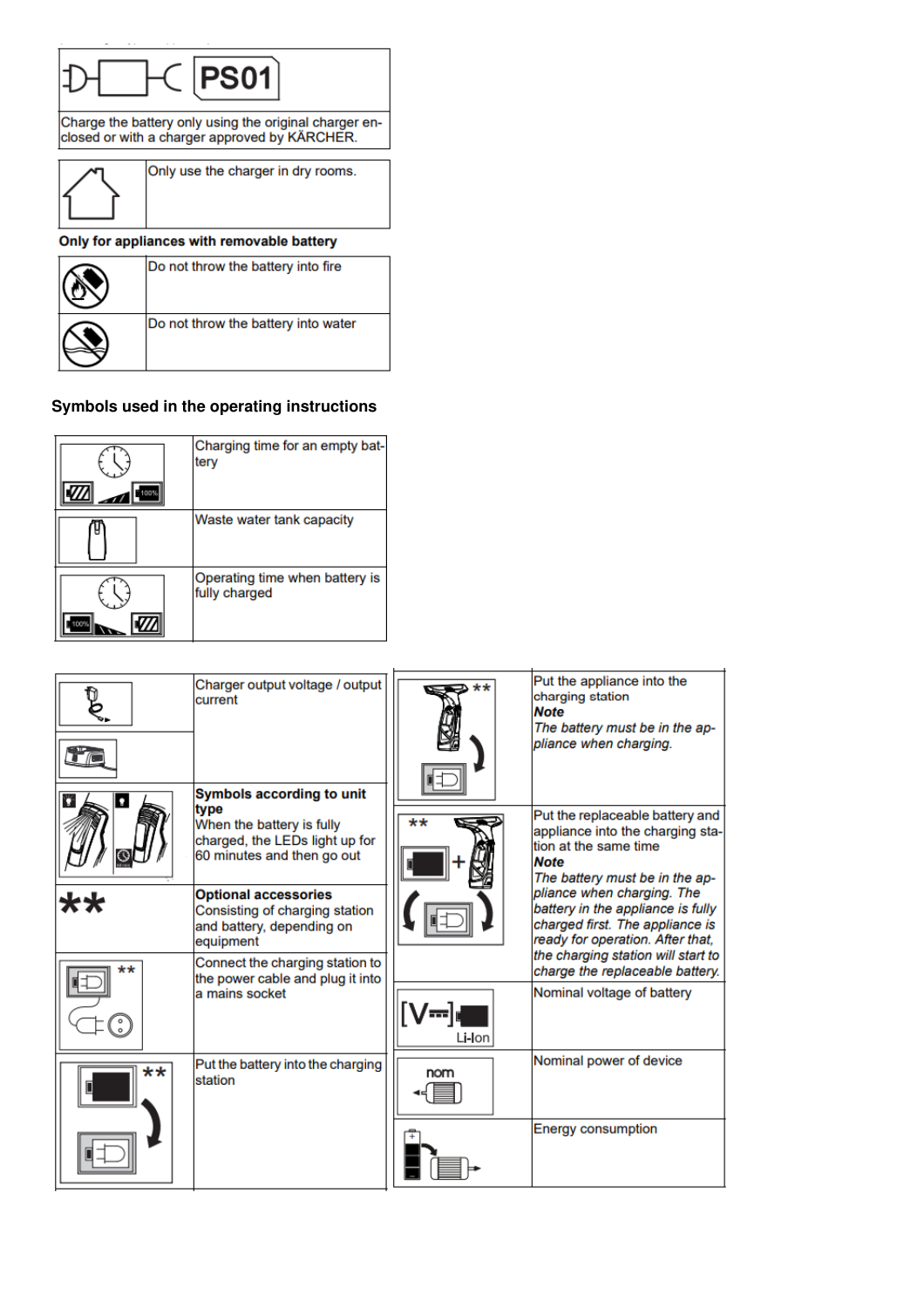<span id="page-3-1"></span><span id="page-3-0"></span>

| Do not throw the battery into fire  |
|-------------------------------------|
| Do not throw the battery into water |

## **Symbols used in the operating instructions**

| 100% | Charging time for an empty bat-<br>tery         |
|------|-------------------------------------------------|
|      | Waste water tank capacity                       |
|      | Operating time when battery is<br>fully charged |

|    | Charger output voltage / output<br>current<br>Symbols according to unit                                                                                                                         |        | Put the appliance into the<br>charging station<br><b>Note</b><br>The battery must be in the ap-<br>pliance when charging.                                                                                                                                                               |
|----|-------------------------------------------------------------------------------------------------------------------------------------------------------------------------------------------------|--------|-----------------------------------------------------------------------------------------------------------------------------------------------------------------------------------------------------------------------------------------------------------------------------------------|
| n  | type<br>When the battery is fully<br>charged, the LEDs light up for<br>60 minutes and then go out<br><b>Optional accessories</b><br>Consisting of charging station<br>and battery, depending on | **     | Put the replaceable battery and<br>appliance into the charging sta-<br>tion at the same time<br><b>Note</b><br>The battery must be in the ap-<br>pliance when charging. The<br>battery in the appliance is fully<br>charged first. The appliance is<br>ready for operation. After that, |
| k* | equipment<br>Connect the charging station to<br>the power cable and plug it into<br>a mains socket                                                                                              |        | the charging station will start to<br>charge the replaceable battery.<br>Nominal voltage of battery                                                                                                                                                                                     |
|    |                                                                                                                                                                                                 | Li-Ion |                                                                                                                                                                                                                                                                                         |
| ** | Put the battery into the charging<br>station                                                                                                                                                    | nom    | Nominal power of device                                                                                                                                                                                                                                                                 |
|    |                                                                                                                                                                                                 |        | <b>Energy consumption</b>                                                                                                                                                                                                                                                               |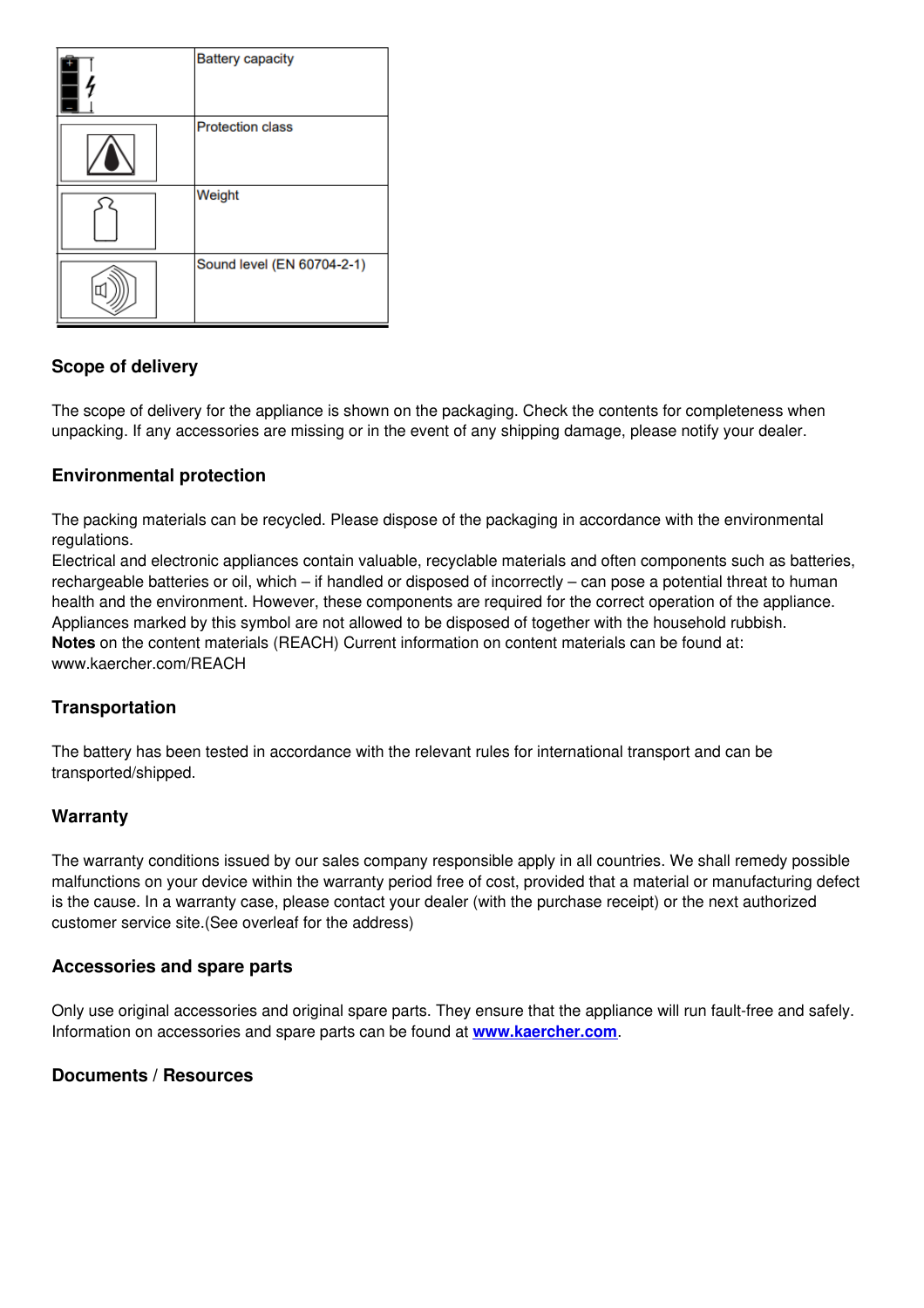| <b>Battery capacity</b>    |
|----------------------------|
| <b>Protection class</b>    |
| Weight                     |
| Sound level (EN 60704-2-1) |

## <span id="page-4-0"></span>**Scope of delivery**

The scope of delivery for the appliance is shown on the packaging. Check the contents for completeness when unpacking. If any accessories are missing or in the event of any shipping damage, please notify your dealer.

## <span id="page-4-1"></span>**Environmental protection**

The packing materials can be recycled. Please dispose of the packaging in accordance with the environmental regulations.

Electrical and electronic appliances contain valuable, recyclable materials and often components such as batteries, rechargeable batteries or oil, which – if handled or disposed of incorrectly – can pose a potential threat to human health and the environment. However, these components are required for the correct operation of the appliance. Appliances marked by this symbol are not allowed to be disposed of together with the household rubbish. **Notes** on the content materials (REACH) Current information on content materials can be found at: www.kaercher.com/REACH

## <span id="page-4-2"></span>**Transportation**

The battery has been tested in accordance with the relevant rules for international transport and can be transported/shipped.

## <span id="page-4-3"></span>**Warranty**

The warranty conditions issued by our sales company responsible apply in all countries. We shall remedy possible malfunctions on your device within the warranty period free of cost, provided that a material or manufacturing defect is the cause. In a warranty case, please contact your dealer (with the purchase receipt) or the next authorized customer service site.(See overleaf for the address)

#### <span id="page-4-4"></span>**Accessories and spare parts**

Only use original accessories and original spare parts. They ensure that the appliance will run fault-free and safely. Information on accessories and spare parts can be found at **[www.kaercher.com](http://www.kaercher.com)**.

#### <span id="page-4-5"></span>**Documents / Resources**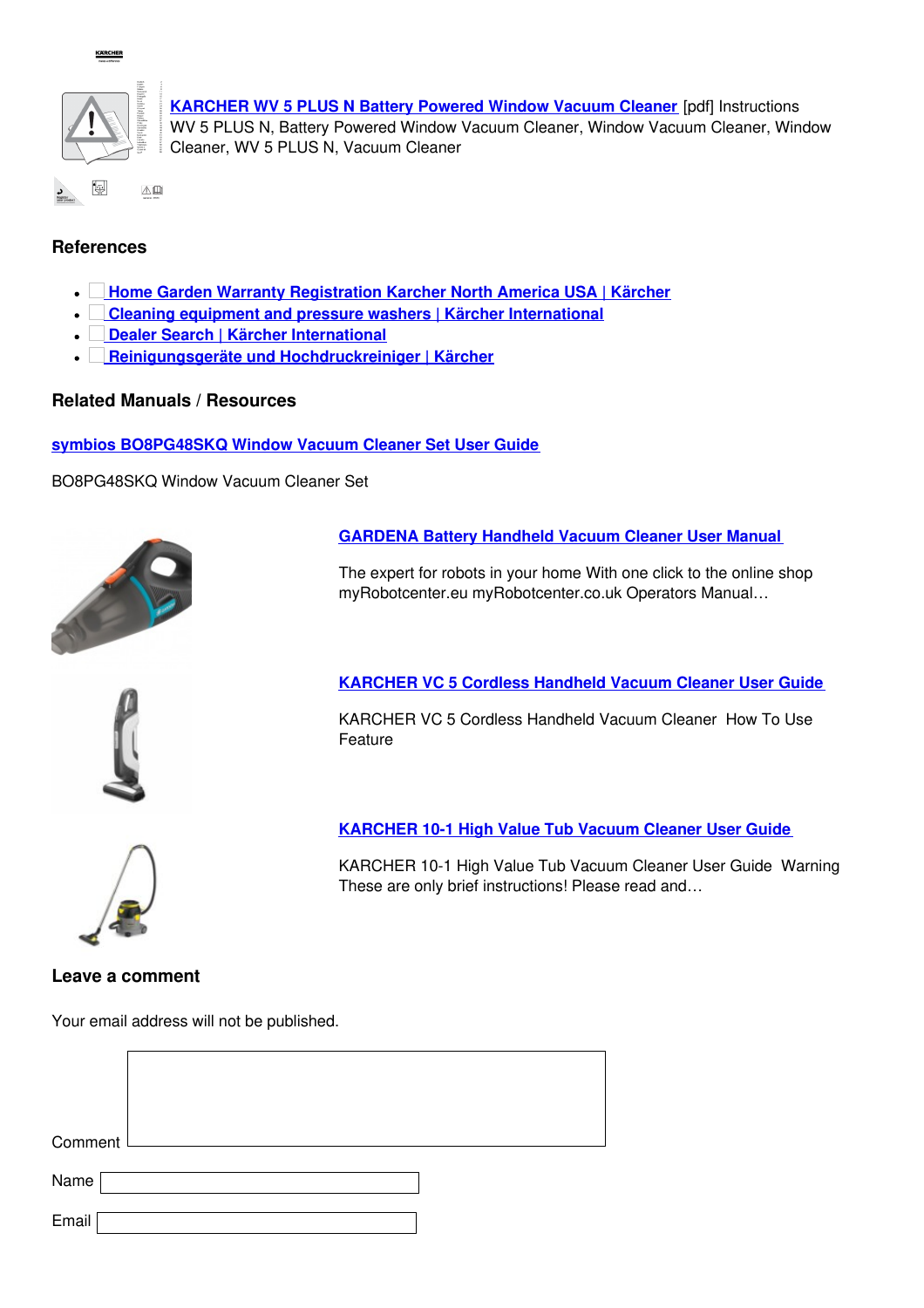

**KARCHER** 

**[KARCHER](https://manuals.plus/m/25cdcbfaad1ed3ef8f4d275900b8fa321380df7dda5f6e50e8e0741e0ccc006e_optim.pdf) WV 5 PLUS N Battery Powered Window Vacuum Cleaner** [pdf] Instructions WV 5 PLUS N, Battery Powered Window Vacuum Cleaner, Window Vacuum Cleaner, Window Cleaner, WV 5 PLUS N, Vacuum Cleaner

## <span id="page-5-1"></span>**References**

- **Home Garden Warranty [Registration](http://www.kaercher.com/welcome) Karcher North America USA | Kärcher**  $\bullet \perp$
- **Cleaning equipment and pressure washers | Kärcher [International](http://www.kaercher.com)**
- **Dealer Search | Kärcher [International](http://www.kaercher.com/dealersearch)**  $\bullet \perp$
- $\overline{\phantom{a}}$ **Reinigungsgeräte und [Hochdruckreiniger](http://www.kaercher.de/REACH) | Kärcher**

#### <span id="page-5-2"></span>**Related Manuals / Resources**

**symbios [BO8PG48SKQ](https://manuals.plus/symbios/bo8pg48skq-window-vacuum-cleaner-set-manual) Window Vacuum Cleaner Set User Guide**

BO8PG48SKQ Window Vacuum Cleaner Set



#### **[GARDENA](https://manuals.plus/gardena/battery-handheld-vacuum-cleaner-manual) Battery Handheld Vacuum Cleaner User Manual**

The expert for robots in your home With one click to the online shop myRobotcenter.eu myRobotcenter.co.uk Operators Manual…



**[KARCHER](https://manuals.plus/karcher/vc-5-cordless-handheld-vacuum-cleaner-manual) VC 5 Cordless Handheld Vacuum Cleaner User Guide**

KARCHER VC 5 Cordless Handheld Vacuum Cleaner How To Use Feature

## **[KARCHER](https://manuals.plus/karcher/10-1-high-value-tub-vacuum-cleaner-manual) 10-1 High Value Tub Vacuum Cleaner User Guide**

KARCHER 10-1 High Value Tub Vacuum Cleaner User Guide Warning These are only brief instructions! Please read and…



#### **Leave a comment**

<span id="page-5-0"></span>Your email address will not be published.

| Comment |  |
|---------|--|
| Name    |  |
| Email   |  |